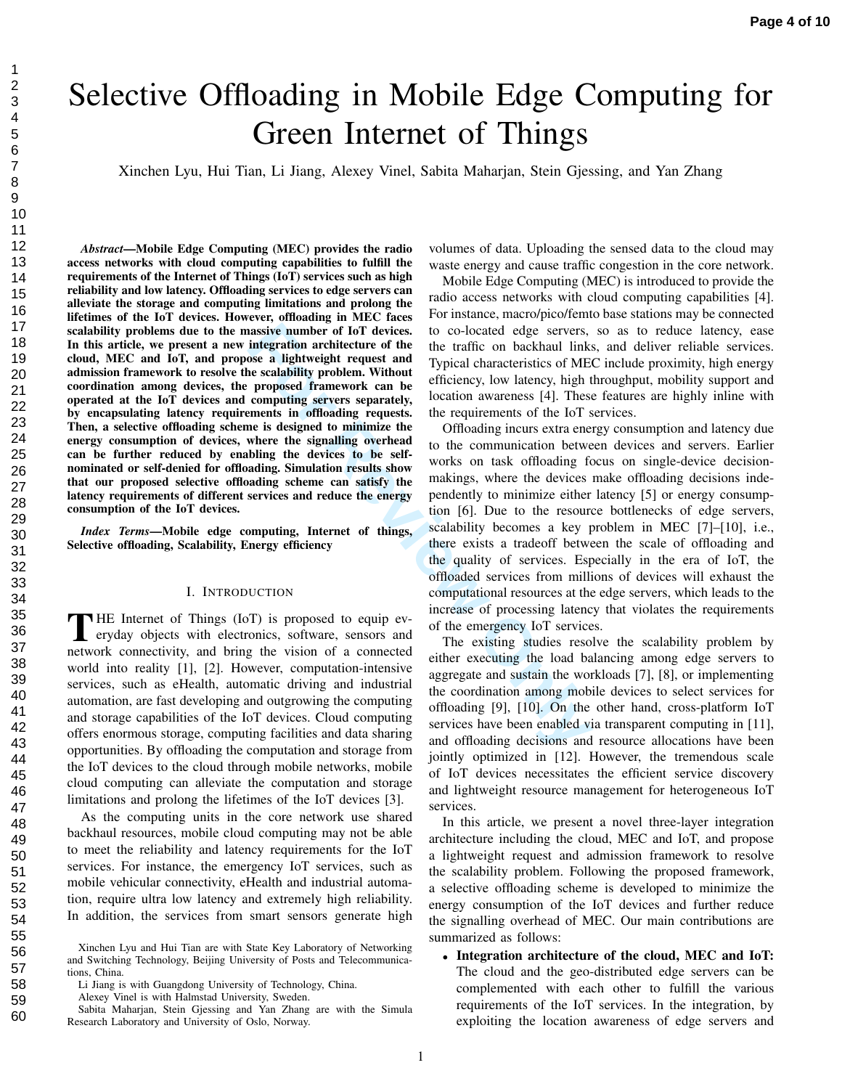# Selective Offloading in Mobile Edge Computing for Green Internet of Things

Xinchen Lyu, Hui Tian, Li Jiang, Alexey Vinel, Sabita Maharjan, Stein Gjessing, and Yan Zhang

*Abstract*—Mobile Edge Computing (MEC) provides the radio access networks with cloud computing capabilities to fulfill the requirements of the Internet of Things (IoT) services such as high reliability and low latency. Offloading services to edge servers can alleviate the storage and computing limitations and prolong the lifetimes of the IoT devices. However, offloading in MEC faces scalability problems due to the massive number of IoT devices. In this article, we present a new integration architecture of the cloud, MEC and IoT, and propose a lightweight request and admission framework to resolve the scalability problem. Without coordination among devices, the proposed framework can be operated at the IoT devices and computing servers separately, by encapsulating latency requirements in offloading requests. Then, a selective offloading scheme is designed to minimize the energy consumption of devices, where the signalling overhead can be further reduced by enabling the devices to be selfnominated or self-denied for offloading. Simulation results show that our proposed selective offloading scheme can satisfy the latency requirements of different services and reduce the energy consumption of the IoT devices.

*Index Terms*—Mobile edge computing, Internet of things, Selective offloading, Scalability, Energy efficiency

### I. INTRODUCTION

THE Internet of Things (IoT) is proposed to equip ev-<br>eryday objects with electronics, software, sensors and eryday objects with electronics, software, sensors and network connectivity, and bring the vision of a connected world into reality [1], [2]. However, computation-intensive services, such as eHealth, automatic driving and industrial automation, are fast developing and outgrowing the computing and storage capabilities of the IoT devices. Cloud computing offers enormous storage, computing facilities and data sharing opportunities. By offloading the computation and storage from the IoT devices to the cloud through mobile networks, mobile cloud computing can alleviate the computation and storage limitations and prolong the lifetimes of the IoT devices [3].

As the computing units in the core network use shared backhaul resources, mobile cloud computing may not be able to meet the reliability and latency requirements for the IoT services. For instance, the emergency IoT services, such as mobile vehicular connectivity, eHealth and industrial automation, require ultra low latency and extremely high reliability. In addition, the services from smart sensors generate high volumes of data. Uploading the sensed data to the cloud may waste energy and cause traffic congestion in the core network.

Mobile Edge Computing (MEC) is introduced to provide the radio access networks with cloud computing capabilities [4]. For instance, macro/pico/femto base stations may be connected to co-located edge servers, so as to reduce latency, ease the traffic on backhaul links, and deliver reliable services. Typical characteristics of MEC include proximity, high energy efficiency, low latency, high throughput, mobility support and location awareness [4]. These features are highly inline with the requirements of the IoT services.

**Example 15** and the transfer and the conduction and the term integration and the term in the term in the term in the term of the term of the proposed framework can be computing servers separately, location awareness [4]. Offloading incurs extra energy consumption and latency due to the communication between devices and servers. Earlier works on task offloading focus on single-device decisionmakings, where the devices make offloading decisions independently to minimize either latency [5] or energy consumption [6]. Due to the resource bottlenecks of edge servers, scalability becomes a key problem in MEC [7]–[10], i.e., there exists a tradeoff between the scale of offloading and the quality of services. Especially in the era of IoT, the offloaded services from millions of devices will exhaust the computational resources at the edge servers, which leads to the increase of processing latency that violates the requirements of the emergency IoT services.

The existing studies resolve the scalability problem by either executing the load balancing among edge servers to aggregate and sustain the workloads [7], [8], or implementing the coordination among mobile devices to select services for offloading [9], [10]. On the other hand, cross-platform IoT services have been enabled via transparent computing in [11], and offloading decisions and resource allocations have been jointly optimized in [12]. However, the tremendous scale of IoT devices necessitates the efficient service discovery and lightweight resource management for heterogeneous IoT services.

In this article, we present a novel three-layer integration architecture including the cloud, MEC and IoT, and propose a lightweight request and admission framework to resolve the scalability problem. Following the proposed framework, a selective offloading scheme is developed to minimize the energy consumption of the IoT devices and further reduce the signalling overhead of MEC. Our main contributions are summarized as follows:

*•* Integration architecture of the cloud, MEC and IoT: The cloud and the geo-distributed edge servers can be complemented with each other to fulfill the various requirements of the IoT services. In the integration, by exploiting the location awareness of edge servers and

 $\mathbf{1}$ 

Xinchen Lyu and Hui Tian are with State Key Laboratory of Networking and Switching Technology, Beijing University of Posts and Telecommunications, China.

Li Jiang is with Guangdong University of Technology, China.

Alexey Vinel is with Halmstad University, Sweden.

Sabita Maharjan, Stein Gjessing and Yan Zhang are with the Simula Research Laboratory and University of Oslo, Norway.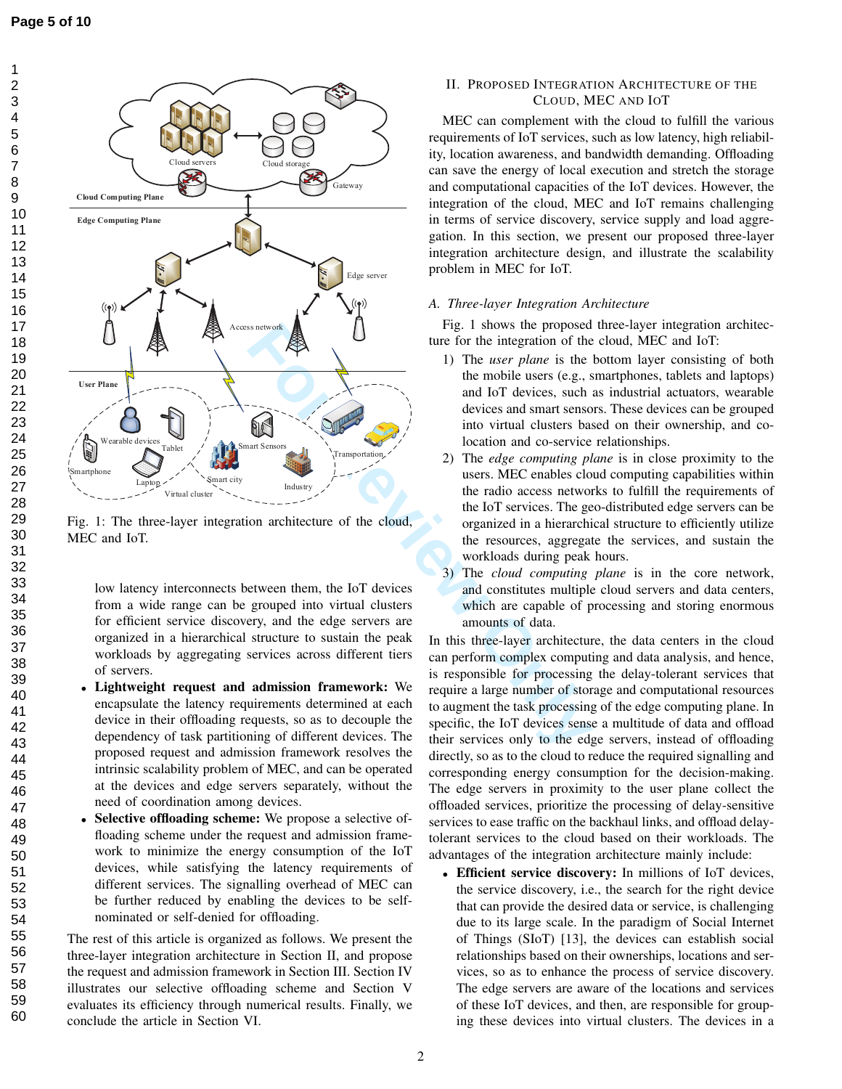123456789



Fig. 1: The three-layer integration architecture of the cloud, MEC and IoT.

low latency interconnects between them, the IoT devices from a wide range can be grouped into virtual clusters for efficient service discovery, and the edge servers are organized in a hierarchical structure to sustain the peak workloads by aggregating services across different tiers of servers.

- *•* Lightweight request and admission framework: We encapsulate the latency requirements determined at each device in their offloading requests, so as to decouple the dependency of task partitioning of different devices. The proposed request and admission framework resolves the intrinsic scalability problem of MEC, and can be operated at the devices and edge servers separately, without the need of coordination among devices.
- Selective offloading scheme: We propose a selective offloading scheme under the request and admission framework to minimize the energy consumption of the IoT devices, while satisfying the latency requirements of different services. The signalling overhead of MEC can be further reduced by enabling the devices to be selfnominated or self-denied for offloading.

The rest of this article is organized as follows. We present the three-layer integration architecture in Section II, and propose the request and admission framework in Section III. Section IV illustrates our selective offloading scheme and Section V evaluates its efficiency through numerical results. Finally, we conclude the article in Section VI.

# II. PROPOSED INTEGRATION ARCHITECTURE OF THE CLOUD, MEC AND I O T

MEC can complement with the cloud to fulfill the various requirements of IoT services, such as low latency, high reliability, location awareness, and bandwidth demanding. Offloading can save the energy of local execution and stretch the storage and computational capacities of the IoT devices. However, the integration of the cloud, MEC and IoT remains challenging in terms of service discovery, service supply and load aggregation. In this section, we present our proposed three-layer integration architecture design, and illustrate the scalability problem in MEC for IoT.

## *A. Three-layer Integration Architecture*

Fig. 1 shows the proposed three-layer integration architecture for the integration of the cloud, MEC and IoT:

- 1) The *user plane* is the bottom layer consisting of both the mobile users (e.g., smartphones, tablets and laptops) and IoT devices, such as industrial actuators, wearable devices and smart sensors. These devices can be grouped into virtual clusters based on their ownership, and colocation and co-service relationships.
- 2) The *edge computing plane* is in close proximity to the users. MEC enables cloud computing capabilities within the radio access networks to fulfill the requirements of the IoT services. The geo-distributed edge servers can be organized in a hierarchical structure to efficiently utilize the resources, aggregate the services, and sustain the workloads during peak hours.
- 3) The *cloud computing plane* is in the core network, and constitutes multiple cloud servers and data centers, which are capable of processing and storing enormous amounts of data.

In this three-layer architecture, the data centers in the cloud can perform complex computing and data analysis, and hence, is responsible for processing the delay-tolerant services that require a large number of storage and computational resources to augment the task processing of the edge computing plane. In specific, the IoT devices sense a multitude of data and offload their services only to the edge servers, instead of offloading directly, so as to the cloud to reduce the required signalling and corresponding energy consumption for the decision-making. The edge servers in proximity to the user plane collect the offloaded services, prioritize the processing of delay-sensitive services to ease traffic on the backhaul links, and offload delaytolerant services to the cloud based on their workloads. The advantages of the integration architecture mainly include:

*•* Efficient service discovery: In millions of IoT devices, the service discovery, i.e., the search for the right device that can provide the desired data or service, is challenging due to its large scale. In the paradigm of Social Internet of Things (SIoT) [13], the devices can establish social relationships based on their ownerships, locations and services, so as to enhance the process of service discovery. The edge servers are aware of the locations and services of these IoT devices, and then, are responsible for grouping these devices into virtual clusters. The devices in a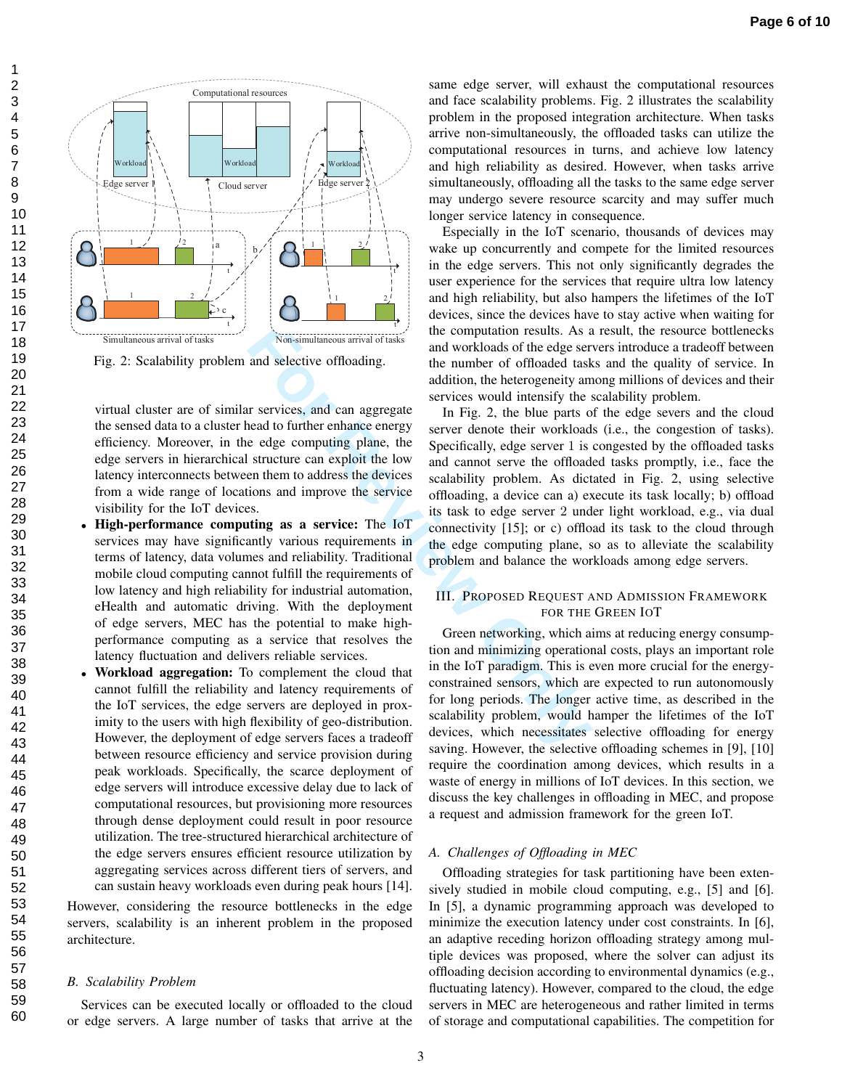



Fig. 2: Scalability problem and selective offloading.

virtual cluster are of similar services, and can aggregate the sensed data to a cluster head to further enhance energy efficiency. Moreover, in the edge computing plane, the edge servers in hierarchical structure can exploit the low latency interconnects between them to address the devices from a wide range of locations and improve the service visibility for the IoT devices.

- *•* High-performance computing as a service: The IoT services may have significantly various requirements in terms of latency, data volumes and reliability. Traditional mobile cloud computing cannot fulfill the requirements of low latency and high reliability for industrial automation, eHealth and automatic driving. With the deployment of edge servers, MEC has the potential to make highperformance computing as a service that resolves the latency fluctuation and delivers reliable services.
- *•* Workload aggregation: To complement the cloud that cannot fulfill the reliability and latency requirements of the IoT services, the edge servers are deployed in proximity to the users with high flexibility of geo-distribution. However, the deployment of edge servers faces a tradeoff between resource efficiency and service provision during peak workloads. Specifically, the scarce deployment of edge servers will introduce excessive delay due to lack of computational resources, but provisioning more resources through dense deployment could result in poor resource utilization. The tree-structured hierarchical architecture of the edge servers ensures efficient resource utilization by aggregating services across different tiers of servers, and can sustain heavy workloads even during peak hours [14].

However, considering the resource bottlenecks in the edge servers, scalability is an inherent problem in the proposed architecture.

#### *B. Scalability Problem*

Services can be executed locally or offloaded to the cloud or edge servers. A large number of tasks that arrive at the same edge server, will exhaust the computational resources and face scalability problems. Fig. 2 illustrates the scalability problem in the proposed integration architecture. When tasks arrive non-simultaneously, the offloaded tasks can utilize the computational resources in turns, and achieve low latency and high reliability as desired. However, when tasks arrive simultaneously, offloading all the tasks to the same edge server may undergo severe resource scarcity and may suffer much longer service latency in consequence.

Especially in the IoT scenario, thousands of devices may wake up concurrently and compete for the limited resources in the edge servers. This not only significantly degrades the user experience for the services that require ultra low latency and high reliability, but also hampers the lifetimes of the IoT devices, since the devices have to stay active when waiting for the computation results. As a result, the resource bottlenecks and workloads of the edge servers introduce a tradeoff between the number of offloaded tasks and the quality of service. In addition, the heterogeneity among millions of devices and their services would intensify the scalability problem.

**For All the Constrained School and School and School and School and School and School and School and School and School and School and Services would intensify the section and to further enhance energy server denote their** In Fig. 2, the blue parts of the edge severs and the cloud server denote their workloads (i.e., the congestion of tasks). Specifically, edge server 1 is congested by the offloaded tasks and cannot serve the offloaded tasks promptly, i.e., face the scalability problem. As dictated in Fig. 2, using selective offloading, a device can a) execute its task locally; b) offload its task to edge server 2 under light workload, e.g., via dual connectivity [15]; or c) offload its task to the cloud through the edge computing plane, so as to alleviate the scalability problem and balance the workloads among edge servers.

## III. PROPOSED REQUEST AND ADMISSION FRAMEWORK for the Green IoT

Green networking, which aims at reducing energy consumption and minimizing operational costs, plays an important role in the IoT paradigm. This is even more crucial for the energyconstrained sensors, which are expected to run autonomously for long periods. The longer active time, as described in the scalability problem, would hamper the lifetimes of the IoT devices, which necessitates selective offloading for energy saving. However, the selective offloading schemes in [9], [10] require the coordination among devices, which results in a waste of energy in millions of IoT devices. In this section, we discuss the key challenges in offloading in MEC, and propose a request and admission framework for the green IoT.

## *A. Challenges of Offloading in MEC*

Offloading strategies for task partitioning have been extensively studied in mobile cloud computing, e.g., [5] and [6]. In [5], a dynamic programming approach was developed to minimize the execution latency under cost constraints. In [6], an adaptive receding horizon offloading strategy among multiple devices was proposed, where the solver can adjust its offloading decision according to environmental dynamics (e.g., fluctuating latency). However, compared to the cloud, the edge servers in MEC are heterogeneous and rather limited in terms of storage and computational capabilities. The competition for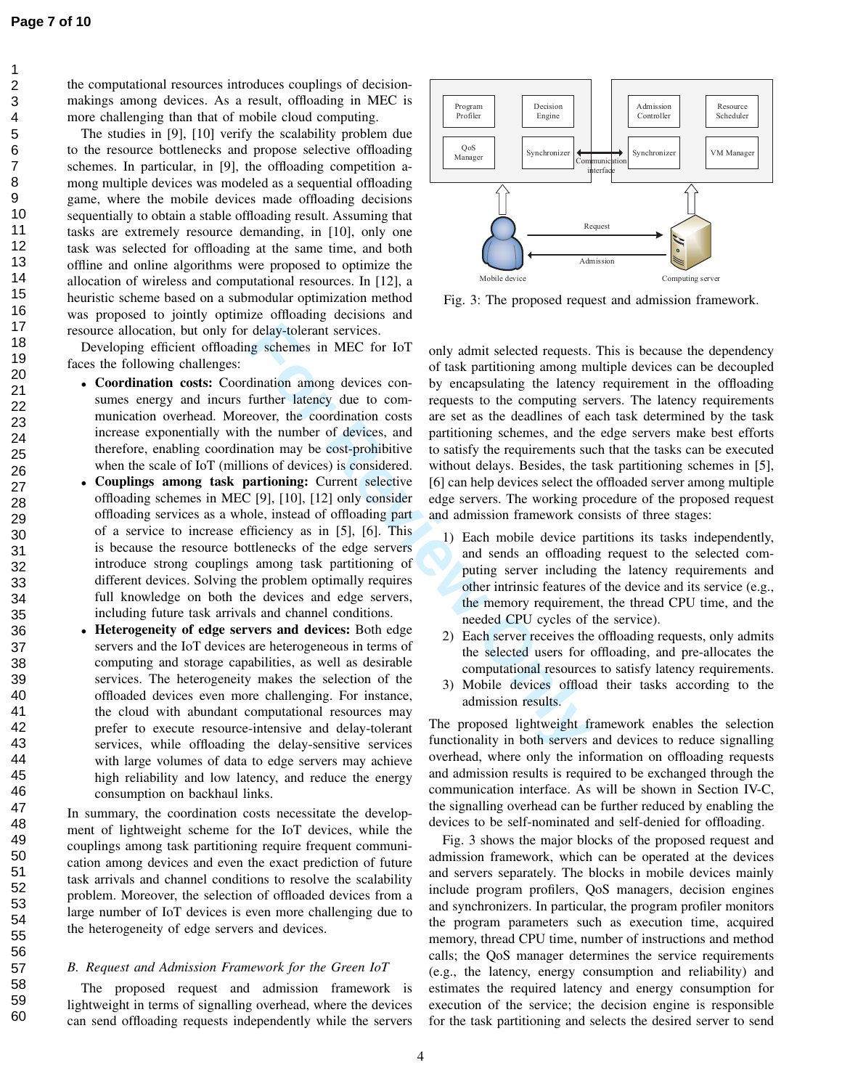123456789

the computational resources introduces couplings of decisionmakings among devices. As a result, offloading in MEC is more challenging than that of mobile cloud computing.

The studies in [9], [10] verify the scalability problem due to the resource bottlenecks and propose selective offloading schemes. In particular, in [9], the offloading competition among multiple devices was modeled as a sequential offloading game, where the mobile devices made offloading decisions sequentially to obtain a stable offloading result. Assuming that tasks are extremely resource demanding, in [10], only one task was selected for offloading at the same time, and both offline and online algorithms were proposed to optimize the allocation of wireless and computational resources. In [12], a heuristic scheme based on a submodular optimization method was proposed to jointly optimize offloading decisions and resource allocation, but only for delay-tolerant services.

Developing efficient offloading schemes in MEC for IoT faces the following challenges:

- Coordination costs: Coordination among devices consumes energy and incurs further latency due to communication overhead. Moreover, the coordination costs increase exponentially with the number of devices, and therefore, enabling coordination may be cost-prohibitive when the scale of IoT (millions of devices) is considered.
- *•* Couplings among task partioning: Current selective offloading schemes in MEC [9], [10], [12] only consider offloading services as a whole, instead of offloading part of a service to increase efficiency as in [5], [6]. This is because the resource bottlenecks of the edge servers introduce strong couplings among task partitioning of different devices. Solving the problem optimally requires full knowledge on both the devices and edge servers, including future task arrivals and channel conditions.
- *•* Heterogeneity of edge servers and devices: Both edge servers and the IoT devices are heterogeneous in terms of computing and storage capabilities, as well as desirable services. The heterogeneity makes the selection of the offloaded devices even more challenging. For instance, the cloud with abundant computational resources may prefer to execute resource-intensive and delay-tolerant services, while offloading the delay-sensitive services with large volumes of data to edge servers may achieve high reliability and low latency, and reduce the energy consumption on backhaul links.

In summary, the coordination costs necessitate the development of lightweight scheme for the IoT devices, while the couplings among task partitioning require frequent communication among devices and even the exact prediction of future task arrivals and channel conditions to resolve the scalability problem. Moreover, the selection of offloaded devices from a large number of IoT devices is even more challenging due to the heterogeneity of edge servers and devices.

## *B. Request and Admission Framework for the Green IoT*

The proposed request and admission framework is lightweight in terms of signalling overhead, where the devices can send offloading requests independently while the servers



Fig. 3: The proposed request and admission framework.

delay-tolerant services.<br> **For COV** only admit selected requests.<br> **FOR COV** task partitioning among modination among devices con-<br>
by encapsulating the latency<br>
function constant of the constrained amount of exception of only admit selected requests. This is because the dependency of task partitioning among multiple devices can be decoupled by encapsulating the latency requirement in the offloading requests to the computing servers. The latency requirements are set as the deadlines of each task determined by the task partitioning schemes, and the edge servers make best efforts to satisfy the requirements such that the tasks can be executed without delays. Besides, the task partitioning schemes in [5], [6] can help devices select the offloaded server among multiple edge servers. The working procedure of the proposed request and admission framework consists of three stages:

- 1) Each mobile device partitions its tasks independently, and sends an offloading request to the selected computing server including the latency requirements and other intrinsic features of the device and its service (e.g., the memory requirement, the thread CPU time, and the needed CPU cycles of the service).
- 2) Each server receives the offloading requests, only admits the selected users for offloading, and pre-allocates the computational resources to satisfy latency requirements.
- 3) Mobile devices offload their tasks according to the admission results.

The proposed lightweight framework enables the selection functionality in both servers and devices to reduce signalling overhead, where only the information on offloading requests and admission results is required to be exchanged through the communication interface. As will be shown in Section IV-C, the signalling overhead can be further reduced by enabling the devices to be self-nominated and self-denied for offloading.

Fig. 3 shows the major blocks of the proposed request and admission framework, which can be operated at the devices and servers separately. The blocks in mobile devices mainly include program profilers, QoS managers, decision engines and synchronizers. In particular, the program profiler monitors the program parameters such as execution time, acquired memory, thread CPU time, number of instructions and method calls; the QoS manager determines the service requirements (e.g., the latency, energy consumption and reliability) and estimates the required latency and energy consumption for execution of the service; the decision engine is responsible for the task partitioning and selects the desired server to send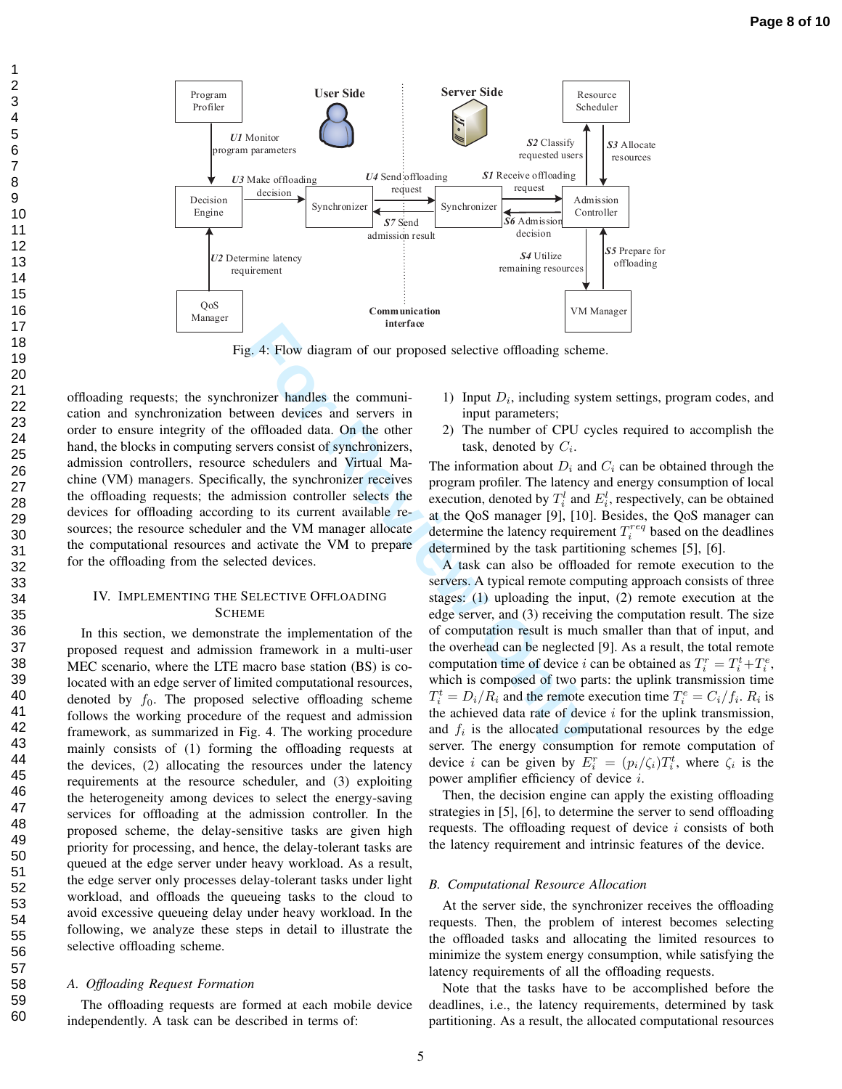

Fig. 4: Flow diagram of our proposed selective offloading scheme.

offloading requests; the synchronizer handles the communication and synchronization between devices and servers in order to ensure integrity of the offloaded data. On the other hand, the blocks in computing servers consist of synchronizers, admission controllers, resource schedulers and Virtual Machine (VM) managers. Specifically, the synchronizer receives the offloading requests; the admission controller selects the devices for offloading according to its current available resources; the resource scheduler and the VM manager allocate the computational resources and activate the VM to prepare for the offloading from the selected devices.

123456789

## IV. IMPLEMENTING THE SELECTIVE OFFLOADING SCHEME

In this section, we demonstrate the implementation of the proposed request and admission framework in a multi-user MEC scenario, where the LTE macro base station (BS) is colocated with an edge server of limited computational resources, denoted by  $f_0$ . The proposed selective offloading scheme follows the working procedure of the request and admission framework, as summarized in Fig. 4. The working procedure mainly consists of (1) forming the offloading requests at the devices, (2) allocating the resources under the latency requirements at the resource scheduler, and (3) exploiting the heterogeneity among devices to select the energy-saving services for offloading at the admission controller. In the proposed scheme, the delay-sensitive tasks are given high priority for processing, and hence, the delay-tolerant tasks are queued at the edge server under heavy workload. As a result, the edge server only processes delay-tolerant tasks under light workload, and offloads the queueing tasks to the cloud to avoid excessive queueing delay under heavy workload. In the following, we analyze these steps in detail to illustrate the selective offloading scheme.

## *A. Offloading Request Formation*

The offloading requests are formed at each mobile device independently. A task can be described in terms of:

- 1) Input  $D_i$ , including system settings, program codes, and input parameters;
- 2) The number of CPU cycles required to accomplish the task, denoted by *Ci* .

The information about  $D_i$  and  $C_i$  can be obtained through the program profiler. The latency and energy consumption of local execution, denoted by  $T_i^l$  and  $E_i^l$ , respectively, can be obtained at the QoS manager [9], [10]. Besides, the QoS manager can determine the latency requirement  $T_i^{req}$  based on the deadlines determined by the task partitioning schemes [5], [6].

and the state of the engine of the computation of the computer of the action of the decision of the selective of the selective of the selective of the selective some solutions on the selective some solutions on the select A task can also be offloaded for remote execution to the servers. A typical remote computing approach consists of three stages: (1) uploading the input, (2) remote execution at the edge server, and (3) receiving the computation result. The size of computation result is much smaller than that of input, and the overhead can be neglected [9]. As a result, the total remote computation time of device *i* can be obtained as  $T_i^r = T_i^t + T_i^e$ , which is composed of two parts: the uplink transmission time  $T_i^t = D_i/R_i$  and the remote execution time  $T_i^e = C_i/f_i$ .  $R_i$  is the achieved data rate of device *i* for the uplink transmission, and  $f_i$  is the allocated computational resources by the edge server. The energy consumption for remote computation of device *i* can be given by  $E_i^r = (p_i/\zeta_i)T_i^t$ , where  $\zeta_i$  is the power amplifier efficiency of device *i* .

> Then, the decision engine can apply the existing offloading strategies in [5], [6], to determine the server to send offloading requests. The offloading request of device *i* consists of both the latency requirement and intrinsic features of the device.

#### *B. Computational Resource Allocation*

At the server side, the synchronizer receives the offloading requests. Then, the problem of interest becomes selecting the offloaded tasks and allocating the limited resources to minimize the system energy consumption, while satisfying the latency requirements of all the offloading requests.

Note that the tasks have to be accomplished before the deadlines, i.e., the latency requirements, determined by task partitioning. As a result, the allocated computational resources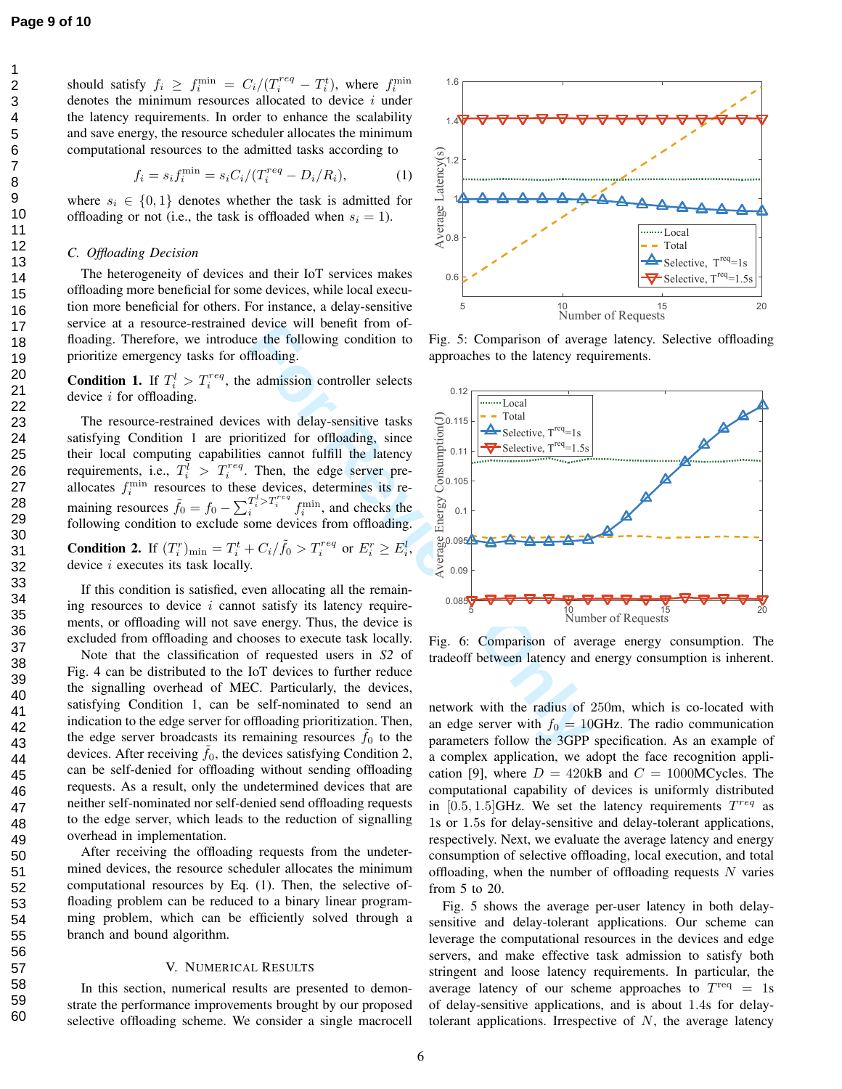123456789

should satisfy  $f_i \ge f_i^{\min} = C_i/(T_i^{req} - T_i^t)$ , where  $f_i^{\min}$ denotes the minimum resources allocated to device *i* under the latency requirements. In order to enhance the scalability and save energy, the resource scheduler allocates the minimum computational resources to the admitted tasks according to

$$
f_i = s_i f_i^{\min} = s_i C_i / (T_i^{req} - D_i / R_i), \tag{1}
$$

where  $s_i \in \{0, 1\}$  denotes whether the task is admitted for offloading or not (i.e., the task is offloaded when  $s_i = 1$ ).

#### *C. Offloading Decision*

The heterogeneity of devices and their IoT services makes offloading more beneficial for some devices, while local execution more beneficial for others. For instance, a delay-sensitive service at a resource-restrained device will benefit from offloading. Therefore, we introduce the following condition to prioritize emergency tasks for offloading.

**Condition 1.** If  $T_i^l > T_i^{req}$ , the admission controller selects device *i* for offloading.

The resource-restrained devices with delay-sensitive tasks satisfying Condition 1 are prioritized for offloading, since their local computing capabilities cannot fulfill the latency requirements, i.e.,  $T_i^{\bar{l}} > T_i^{req}$ . Then, the edge server preallocates  $f_i^{\min}$  resources to these devices, determines its remaining resources  $\tilde{f}_0 = f_0 - \sum_i^{T_i^l > T_i^{req}} f_i^{\min}$ , and checks the following condition to exclude some devices from offloading. **Condition 2.** If  $(T_i^r)_{\min} = T_i^t + C_i / \tilde{f}_0 > T_i^{req}$  or  $E_i^r \ge E_i^l$ ,

If this condition is satisfied, even allocating all the remaining resources to device *i* cannot satisfy its latency requirements, or offloading will not save energy. Thus, the device is

device *i* executes its task locally.

excluded from offloading and chooses to execute task locally. Note that the classification of requested users in *S2* of Fig. 4 can be distributed to the IoT devices to further reduce the signalling overhead of MEC. Particularly, the devices, satisfying Condition 1, can be self-nominated to send an indication to the edge server for offloading prioritization. Then, the edge server broadcasts its remaining resources  $\tilde{f}_0$  to the devices. After receiving  $\tilde{f}_0$ , the devices satisfying Condition 2, can be self-denied for offloading without sending offloading requests. As a result, only the undetermined devices that are neither self-nominated nor self-denied send offloading requests to the edge server, which leads to the reduction of signalling overhead in implementation.

After receiving the offloading requests from the undetermined devices, the resource scheduler allocates the minimum computational resources by Eq. (1). Then, the selective offloading problem can be reduced to a binary linear programming problem, which can be efficiently solved through a branch and bound algorithm.

#### V. NUMERICAL RESULTS

In this section, numerical results are presented to demonstrate the performance improvements brought by our proposed selective offloading scheme. We consider a single macrocell



Fig. 5: Comparison of average latency. Selective offloading approaches to the latency requirements.



Fig. 6: Comparison of average energy consumption. The tradeoff between latency and energy consumption is inherent.

network with the radius of 250m, which is co-located with an edge server with  $f_0 = 10$ GHz. The radio communication parameters follow the 3GPP specification. As an example of a complex application, we adopt the face recognition application [9], where  $D = 420kB$  and  $C = 1000MCycles$ . The computational capability of devices is uniformly distributed in  $[0.5, 1.5]$ GHz. We set the latency requirements  $T^{req}$  as 1s or 1 *.* 5s for delay-sensitive and delay-tolerant applications, respectively. Next, we evaluate the average latency and energy consumption of selective offloading, local execution, and total offloading, when the number of offloading requests *N* varies from 5 to 20.

Fig. 5 shows the average per-user latency in both delaysensitive and delay-tolerant applications. Our scheme can leverage the computational resources in the devices and edge servers, and make effective task admission to satisfy both stringent and loose latency requirements. In particular, the average latency of our scheme approaches to  $T<sup>req</sup> = 1s$ of delay-sensitive applications, and is about 1 *.* 4s for delaytolerant applications. Irrespective of *N*, the average latency